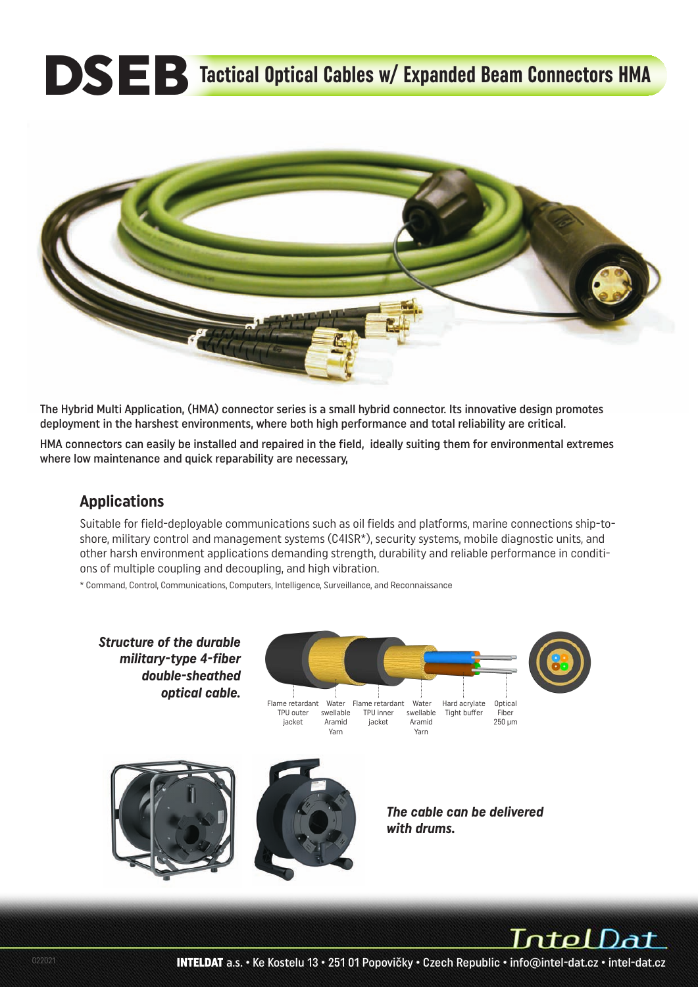# **DSEB** Tactical Optical Cables w/ Expanded Beam Connectors HMA



The Hybrid Multi Application, (HMA) connector series is a small hybrid connector. Its innovative design promotes deployment in the harshest environments, where both high performance and total reliability are critical.

HMA connectors can easily be installed and repaired in the field, ideally suiting them for environmental extremes where low maintenance and quick reparability are necessary,

#### **Applications**

Suitable for field-deployable communications such as oil fields and platforms, marine connections ship-toshore, military control and management systems (C4ISR\*), security systems, mobile diagnostic units, and other harsh environment applications demanding strength, durability and reliable performance in conditions of multiple coupling and decoupling, and high vibration.

\* Command, Control, Communications, Computers, Intelligence, Surveillance, and Reconnaissance